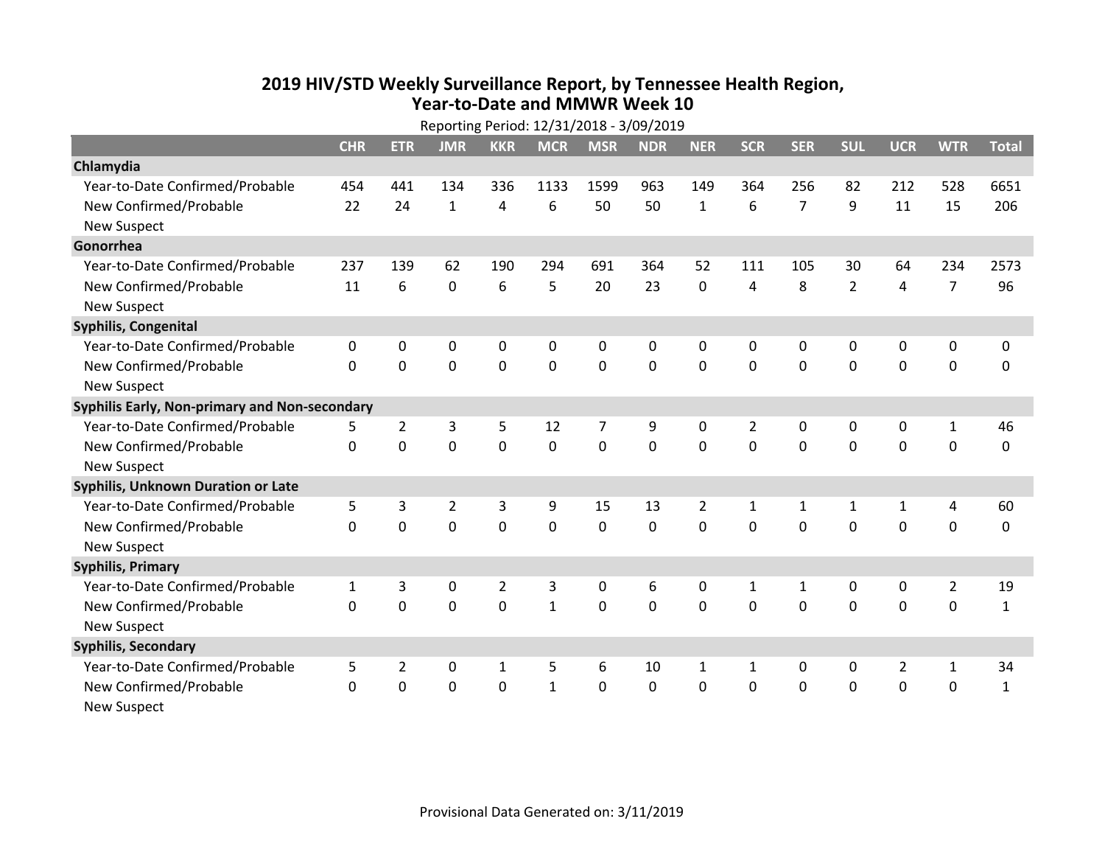## **2019 HIV /STD Weekly Surveillance Report, by Tennessee Health Region, Year‐to‐Date and MMWR Week 10**

|                                               | Reporting Period: 12/31/2018 - 3/09/2019 |                |                |                |              |             |             |                |              |                |                |                |                |              |
|-----------------------------------------------|------------------------------------------|----------------|----------------|----------------|--------------|-------------|-------------|----------------|--------------|----------------|----------------|----------------|----------------|--------------|
|                                               | <b>CHR</b>                               | <b>ETR</b>     | <b>JMR</b>     | <b>KKR</b>     | <b>MCR</b>   | <b>MSR</b>  | <b>NDR</b>  | <b>NER</b>     | <b>SCR</b>   | <b>SER</b>     | <b>SUL</b>     | <b>UCR</b>     | <b>WTR</b>     | <b>Total</b> |
| Chlamydia                                     |                                          |                |                |                |              |             |             |                |              |                |                |                |                |              |
| Year-to-Date Confirmed/Probable               | 454                                      | 441            | 134            | 336            | 1133         | 1599        | 963         | 149            | 364          | 256            | 82             | 212            | 528            | 6651         |
| New Confirmed/Probable                        | 22                                       | 24             | $\mathbf{1}$   | 4              | 6            | 50          | 50          | $\mathbf{1}$   | 6            | $\overline{7}$ | 9              | 11             | 15             | 206          |
| <b>New Suspect</b>                            |                                          |                |                |                |              |             |             |                |              |                |                |                |                |              |
| Gonorrhea                                     |                                          |                |                |                |              |             |             |                |              |                |                |                |                |              |
| Year-to-Date Confirmed/Probable               | 237                                      | 139            | 62             | 190            | 294          | 691         | 364         | 52             | 111          | 105            | 30             | 64             | 234            | 2573         |
| New Confirmed/Probable                        | 11                                       | 6              | 0              | 6              | 5            | 20          | 23          | 0              | 4            | 8              | $\overline{2}$ | 4              | $\overline{7}$ | 96           |
| <b>New Suspect</b>                            |                                          |                |                |                |              |             |             |                |              |                |                |                |                |              |
| <b>Syphilis, Congenital</b>                   |                                          |                |                |                |              |             |             |                |              |                |                |                |                |              |
| Year-to-Date Confirmed/Probable               | 0                                        | 0              | 0              | 0              | 0            | 0           | 0           | 0              | 0            | 0              | 0              | 0              | 0              | 0            |
| New Confirmed/Probable                        | $\Omega$                                 | 0              | 0              | $\mathbf 0$    | $\mathbf 0$  | $\mathbf 0$ | $\mathbf 0$ | $\mathbf 0$    | $\mathbf 0$  | $\Omega$       | 0              | $\mathbf 0$    | $\mathbf 0$    | 0            |
| <b>New Suspect</b>                            |                                          |                |                |                |              |             |             |                |              |                |                |                |                |              |
| Syphilis Early, Non-primary and Non-secondary |                                          |                |                |                |              |             |             |                |              |                |                |                |                |              |
| Year-to-Date Confirmed/Probable               | 5                                        | $\overline{2}$ | 3              | 5              | 12           | 7           | 9           | 0              | 2            | 0              | 0              | 0              | 1              | 46           |
| New Confirmed/Probable                        | 0                                        | 0              | 0              | $\mathbf 0$    | 0            | $\mathbf 0$ | $\mathbf 0$ | $\mathbf 0$    | $\Omega$     | 0              | 0              | 0              | $\mathbf 0$    | 0            |
| <b>New Suspect</b>                            |                                          |                |                |                |              |             |             |                |              |                |                |                |                |              |
| <b>Syphilis, Unknown Duration or Late</b>     |                                          |                |                |                |              |             |             |                |              |                |                |                |                |              |
| Year-to-Date Confirmed/Probable               | 5                                        | 3              | $\overline{2}$ | 3              | 9            | 15          | 13          | $\overline{2}$ | $\mathbf{1}$ | $\mathbf{1}$   | 1              | 1              | 4              | 60           |
| New Confirmed/Probable                        | 0                                        | $\Omega$       | 0              | $\mathbf 0$    | 0            | $\mathbf 0$ | $\Omega$    | $\Omega$       | $\Omega$     | $\Omega$       | $\Omega$       | 0              | 0              | 0            |
| <b>New Suspect</b>                            |                                          |                |                |                |              |             |             |                |              |                |                |                |                |              |
| <b>Syphilis, Primary</b>                      |                                          |                |                |                |              |             |             |                |              |                |                |                |                |              |
| Year-to-Date Confirmed/Probable               | $\mathbf{1}$                             | 3              | 0              | $\overline{2}$ | 3            | $\mathbf 0$ | 6           | 0              | 1            | $\mathbf{1}$   | 0              | 0              | $\overline{2}$ | 19           |
| New Confirmed/Probable                        | 0                                        | $\Omega$       | $\mathbf 0$    | $\mathbf 0$    | $\mathbf{1}$ | $\mathbf 0$ | $\mathbf 0$ | $\Omega$       | $\Omega$     | $\Omega$       | $\Omega$       | $\mathbf 0$    | $\mathbf 0$    | $\mathbf{1}$ |
| <b>New Suspect</b>                            |                                          |                |                |                |              |             |             |                |              |                |                |                |                |              |
| <b>Syphilis, Secondary</b>                    |                                          |                |                |                |              |             |             |                |              |                |                |                |                |              |
| Year-to-Date Confirmed/Probable               | 5                                        | $\overline{2}$ | 0              | $\mathbf{1}$   | 5            | 6           | 10          | $\mathbf{1}$   | $\mathbf{1}$ | 0              | 0              | $\overline{2}$ | $\mathbf{1}$   | 34           |
| New Confirmed/Probable                        | $\Omega$                                 | $\mathbf{0}$   | 0              | $\Omega$       | $\mathbf{1}$ | $\mathbf 0$ | 0           | 0              | 0            | 0              | $\mathbf 0$    | 0              | $\mathbf 0$    | $\mathbf{1}$ |
| <b>New Suspect</b>                            |                                          |                |                |                |              |             |             |                |              |                |                |                |                |              |